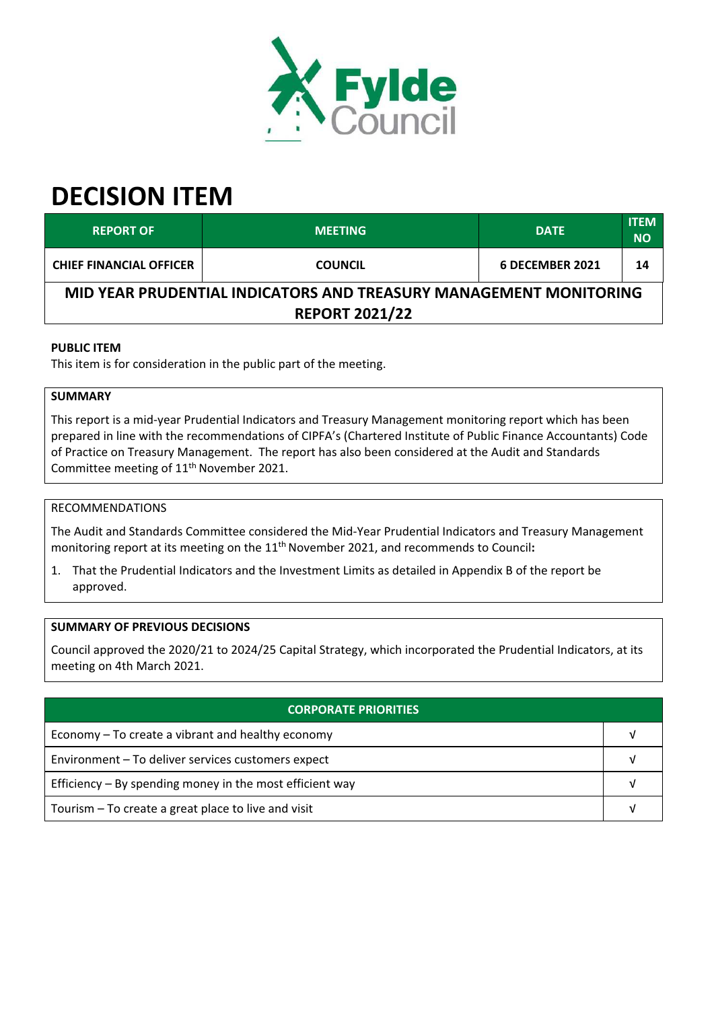

# **DECISION ITEM**

| <b>REPORT OF</b>                                                  | <b>MEETING</b> | <b>DATE</b>     | <b>ITEM</b><br><b>NO</b> |  |  |
|-------------------------------------------------------------------|----------------|-----------------|--------------------------|--|--|
| <b>CHIEF FINANCIAL OFFICER</b>                                    | <b>COUNCIL</b> | 6 DECEMBER 2021 | 14                       |  |  |
| MID YEAR PRUDENTIAL INDICATORS AND TREASURY MANAGEMENT MONITORING |                |                 |                          |  |  |
| <b>REPORT 2021/22</b>                                             |                |                 |                          |  |  |

# **PUBLIC ITEM**

This item is for consideration in the public part of the meeting.

# **SUMMARY**

This report is a mid‐year Prudential Indicators and Treasury Management monitoring report which has been prepared in line with the recommendations of CIPFA's (Chartered Institute of Public Finance Accountants) Code of Practice on Treasury Management. The report has also been considered at the Audit and Standards Committee meeting of 11<sup>th</sup> November 2021.

# RECOMMENDATIONS

The Audit and Standards Committee considered the Mid‐Year Prudential Indicators and Treasury Management monitoring report at its meeting on the 11<sup>th</sup> November 2021, and recommends to Council:

1. That the Prudential Indicators and the Investment Limits as detailed in Appendix B of the report be approved.

# **SUMMARY OF PREVIOUS DECISIONS**

Council approved the 2020/21 to 2024/25 Capital Strategy, which incorporated the Prudential Indicators, at its meeting on 4th March 2021.

| <b>CORPORATE PRIORITIES</b>                                |  |  |
|------------------------------------------------------------|--|--|
| Economy – To create a vibrant and healthy economy          |  |  |
| Environment - To deliver services customers expect         |  |  |
| Efficiency $-$ By spending money in the most efficient way |  |  |
| Tourism – To create a great place to live and visit        |  |  |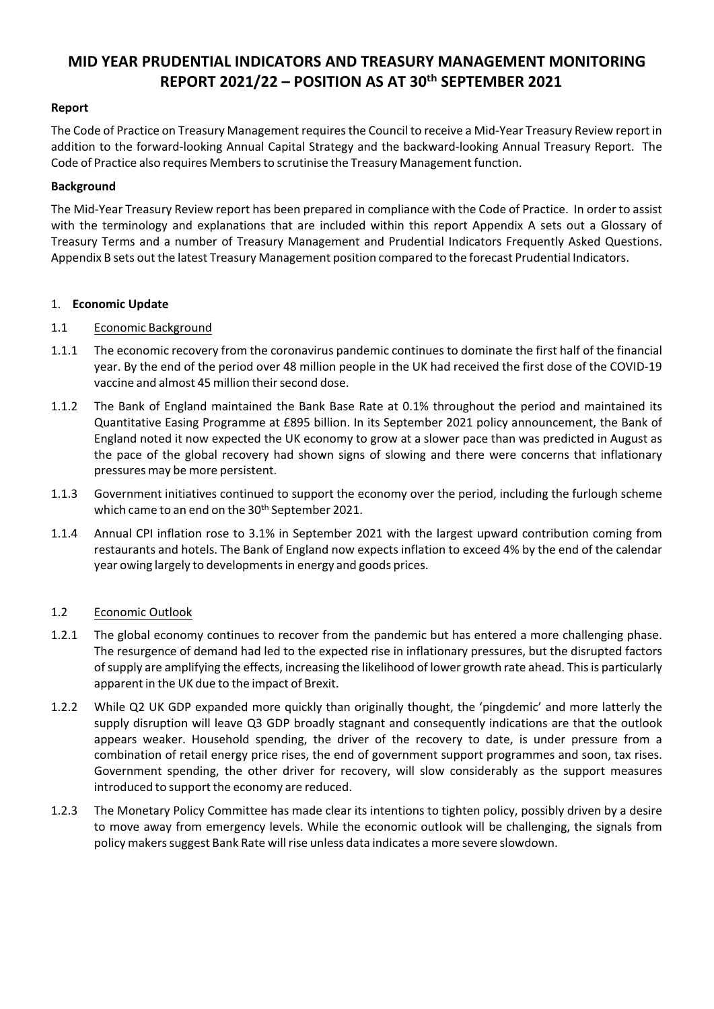# **MID YEAR PRUDENTIAL INDICATORS AND TREASURY MANAGEMENT MONITORING REPORT 2021/22 – POSITION AS AT 30 th SEPTEMBER 2021**

# **Report**

The Code of Practice on Treasury Management requires the Council to receive a Mid-Year Treasury Review report in addition to the forward‐looking Annual Capital Strategy and the backward‐looking Annual Treasury Report. The Code of Practice also requires Members to scrutinise the Treasury Management function.

# **Background**

The Mid‐Year Treasury Review report has been prepared in compliance with the Code of Practice. In order to assist with the terminology and explanations that are included within this report Appendix A sets out a Glossary of Treasury Terms and a number of Treasury Management and Prudential Indicators Frequently Asked Questions. Appendix B sets out the latest Treasury Management position compared to the forecast Prudential Indicators.

#### 1. **Economic Update**

# 1.1 Economic Background

- 1.1.1 The economic recovery from the coronavirus pandemic continues to dominate the first half of the financial year. By the end of the period over 48 million people in the UK had received the first dose of the COVID‐19 vaccine and almost 45 million their second dose.
- 1.1.2 The Bank of England maintained the Bank Base Rate at 0.1% throughout the period and maintained its Quantitative Easing Programme at £895 billion. In its September 2021 policy announcement, the Bank of England noted it now expected the UK economy to grow at a slower pace than was predicted in August as the pace of the global recovery had shown signs of slowing and there were concerns that inflationary pressures may be more persistent.
- 1.1.3 Government initiatives continued to support the economy over the period, including the furlough scheme which came to an end on the 30<sup>th</sup> September 2021.
- 1.1.4 Annual CPI inflation rose to 3.1% in September 2021 with the largest upward contribution coming from restaurants and hotels. The Bank of England now expects inflation to exceed 4% by the end of the calendar year owing largely to developments in energy and goods prices.

#### 1.2 Economic Outlook

- 1.2.1 The global economy continues to recover from the pandemic but has entered a more challenging phase. The resurgence of demand had led to the expected rise in inflationary pressures, but the disrupted factors ofsupply are amplifying the effects, increasing the likelihood of lower growth rate ahead. Thisis particularly apparent in the UK due to the impact of Brexit.
- 1.2.2 While Q2 UK GDP expanded more quickly than originally thought, the 'pingdemic' and more latterly the supply disruption will leave Q3 GDP broadly stagnant and consequently indications are that the outlook appears weaker. Household spending, the driver of the recovery to date, is under pressure from a combination of retail energy price rises, the end of government support programmes and soon, tax rises. Government spending, the other driver for recovery, will slow considerably as the support measures introduced to support the economy are reduced.
- 1.2.3 The Monetary Policy Committee has made clear its intentions to tighten policy, possibly driven by a desire to move away from emergency levels. While the economic outlook will be challenging, the signals from policy makers suggest Bank Rate will rise unless data indicates a more severe slowdown.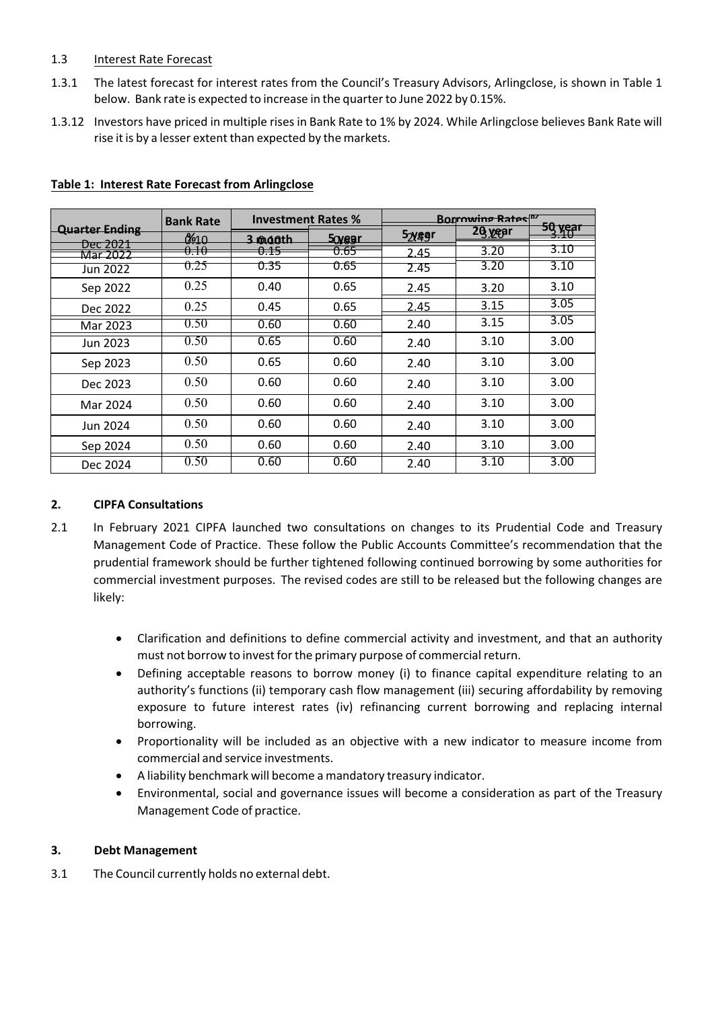# 1.3 Interest Rate Forecast

- 1.3.1 The latest forecast for interest rates from the Council's Treasury Advisors, Arlingclose, is shown in Table 1 below. Bank rate is expected to increase in the quarter to June 2022 by 0.15%.
- 1.3.12 Investors have priced in multiple rises in Bank Rate to 1% by 2024. While Arlingclose believes Bank Rate will rise it is by a lesser extent than expected by the markets.

|                       | <b>Bank Rate</b> | <b>Investment Rates %</b> |        | <b>Borrowing Rates<sup>py</sup></b> |         |                |
|-----------------------|------------------|---------------------------|--------|-------------------------------------|---------|----------------|
| <b>Quarter Ending</b> | 0610             | 3 maoth                   | 50yegr | 5 <sub>2</sub> yeer                 | 26 year | <u>50 year</u> |
| Dec 2021<br>Mar 2022  | 0.10             | <del>0.15</del>           | 0.65   | 2.45                                | 3.20    | 3.10           |
| Jun 2022              | 0.25             | 0.35                      | 0.65   | 2.45                                | 3.20    | 3.10           |
| Sep 2022              | 0.25             | 0.40                      | 0.65   | 2.45                                | 3.20    | 3.10           |
| Dec 2022              | 0.25             | 0.45                      | 0.65   | 2.45                                | 3.15    | 3.05           |
| Mar 2023              | 0.50             | 0.60                      | 0.60   | 2.40                                | 3.15    | 3.05           |
| Jun 2023              | 0.50             | 0.65                      | 0.60   | 2.40                                | 3.10    | 3.00           |
| Sep 2023              | 0.50             | 0.65                      | 0.60   | 2.40                                | 3.10    | 3.00           |
| Dec 2023              | 0.50             | 0.60                      | 0.60   | 2.40                                | 3.10    | 3.00           |
| Mar 2024              | 0.50             | 0.60                      | 0.60   | 2.40                                | 3.10    | 3.00           |
| Jun 2024              | 0.50             | 0.60                      | 0.60   | 2.40                                | 3.10    | 3.00           |
| Sep 2024              | 0.50             | 0.60                      | 0.60   | 2.40                                | 3.10    | 3.00           |
| Dec 2024              | 0.50             | 0.60                      | 0.60   | 2.40                                | 3.10    | 3.00           |

#### **Table 1: Interest Rate Forecast from Arlingclose**

#### **2. CIPFA Consultations**

- 2.1 In February 2021 CIPFA launched two consultations on changes to its Prudential Code and Treasury Management Code of Practice. These follow the Public Accounts Committee's recommendation that the prudential framework should be further tightened following continued borrowing by some authorities for commercial investment purposes. The revised codes are still to be released but the following changes are likely:
	- Clarification and definitions to define commercial activity and investment, and that an authority must not borrow to invest for the primary purpose of commercial return.
	- Defining acceptable reasons to borrow money (i) to finance capital expenditure relating to an authority's functions (ii) temporary cash flow management (iii) securing affordability by removing exposure to future interest rates (iv) refinancing current borrowing and replacing internal borrowing.
	- Proportionality will be included as an objective with a new indicator to measure income from commercial and service investments.
	- A liability benchmark will become a mandatory treasury indicator.
	- Environmental, social and governance issues will become a consideration as part of the Treasury Management Code of practice.

#### **3. Debt Management**

3.1 The Council currently holds no external debt.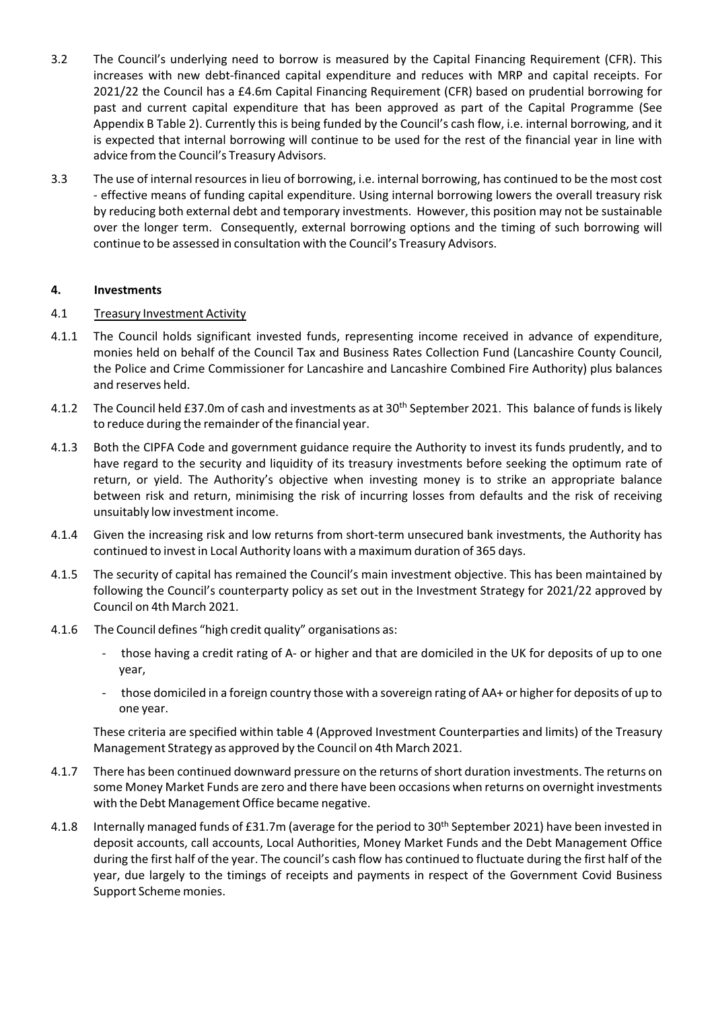- 3.2 The Council's underlying need to borrow is measured by the Capital Financing Requirement (CFR). This increases with new debt-financed capital expenditure and reduces with MRP and capital receipts. For 2021/22 the Council has a £4.6m Capital Financing Requirement (CFR) based on prudential borrowing for past and current capital expenditure that has been approved as part of the Capital Programme (See Appendix B Table 2). Currently this is being funded by the Council's cash flow, i.e. internal borrowing, and it is expected that internal borrowing will continue to be used for the rest of the financial year in line with advice from the Council's Treasury Advisors.
- 3.3 The use of internal resourcesin lieu of borrowing, i.e. internal borrowing, has continued to be the most cost ‐ effective means of funding capital expenditure. Using internal borrowing lowers the overall treasury risk by reducing both external debt and temporary investments. However, this position may not be sustainable over the longer term. Consequently, external borrowing options and the timing of such borrowing will continue to be assessed in consultation with the Council's Treasury Advisors.

# **4. Investments**

# 4.1 Treasury Investment Activity

- 4.1.1 The Council holds significant invested funds, representing income received in advance of expenditure, monies held on behalf of the Council Tax and Business Rates Collection Fund (Lancashire County Council, the Police and Crime Commissioner for Lancashire and Lancashire Combined Fire Authority) plus balances and reserves held.
- 4.1.2 The Council held £37.0m of cash and investments as at 30<sup>th</sup> September 2021. This balance of funds is likely to reduce during the remainder of the financial year.
- 4.1.3 Both the CIPFA Code and government guidance require the Authority to invest its funds prudently, and to have regard to the security and liquidity of its treasury investments before seeking the optimum rate of return, or yield. The Authority's objective when investing money is to strike an appropriate balance between risk and return, minimising the risk of incurring losses from defaults and the risk of receiving unsuitably low investment income.
- 4.1.4 Given the increasing risk and low returns from short-term unsecured bank investments, the Authority has continued to invest in Local Authority loans with a maximum duration of 365 days.
- 4.1.5 The security of capital has remained the Council's main investment objective. This has been maintained by following the Council's counterparty policy as set out in the Investment Strategy for 2021/22 approved by Council on 4th March 2021.
- 4.1.6 The Council defines "high credit quality" organisations as:
	- those having a credit rating of A- or higher and that are domiciled in the UK for deposits of up to one year,
	- ‐ those domiciled in a foreign country those with a sovereign rating of AA+ or higherfor deposits of up to one year.

These criteria are specified within table 4 (Approved Investment Counterparties and limits) of the Treasury Management Strategy as approved by the Council on 4th March 2021.

- 4.1.7 There has been continued downward pressure on the returns of short duration investments. The returns on some Money Market Funds are zero and there have been occasions when returns on overnight investments with the Debt Management Office became negative.
- 4.1.8 Internally managed funds of £31.7m (average for the period to 30<sup>th</sup> September 2021) have been invested in deposit accounts, call accounts, Local Authorities, Money Market Funds and the Debt Management Office during the first half of the year. The council's cash flow has continued to fluctuate during the first half of the year, due largely to the timings of receipts and payments in respect of the Government Covid Business Support Scheme monies.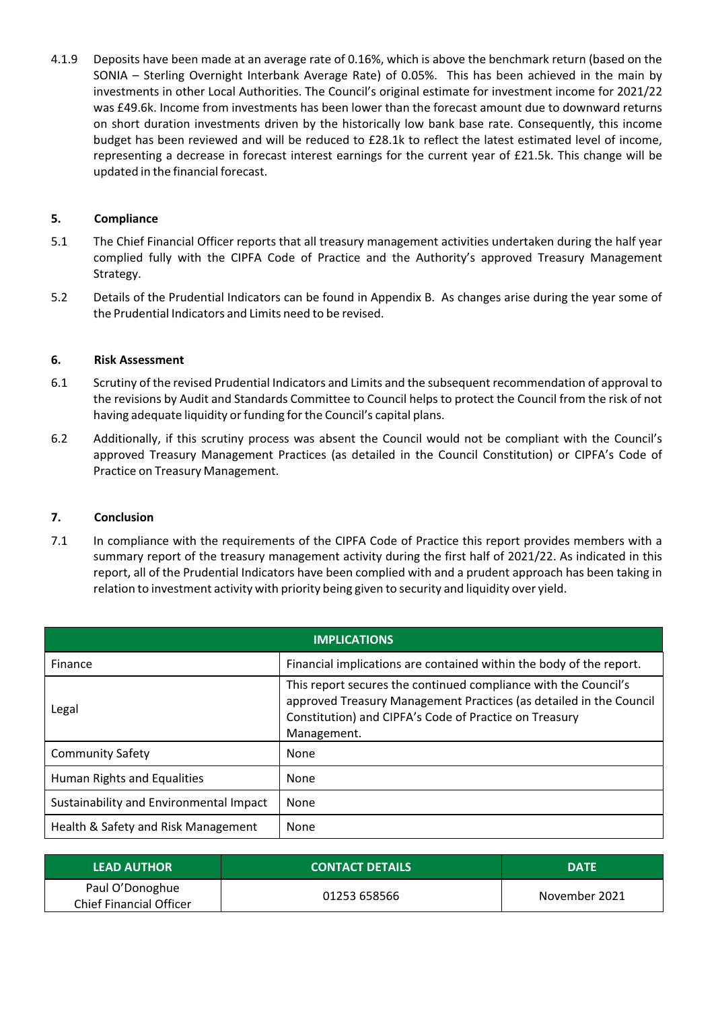4.1.9 Deposits have been made at an average rate of 0.16%, which is above the benchmark return (based on the SONIA – Sterling Overnight Interbank Average Rate) of 0.05%. This has been achieved in the main by investments in other Local Authorities. The Council's original estimate for investment income for 2021/22 was £49.6k. Income from investments has been lower than the forecast amount due to downward returns on short duration investments driven by the historically low bank base rate. Consequently, this income budget has been reviewed and will be reduced to £28.1k to reflect the latest estimated level of income, representing a decrease in forecast interest earnings for the current year of £21.5k. This change will be updated in the financial forecast.

# **5. Compliance**

- 5.1 The Chief Financial Officer reports that all treasury management activities undertaken during the half year complied fully with the CIPFA Code of Practice and the Authority's approved Treasury Management Strategy.
- 5.2 Details of the Prudential Indicators can be found in Appendix B. As changes arise during the year some of the Prudential Indicators and Limits need to be revised.

#### **6. Risk Assessment**

- 6.1 Scrutiny of the revised Prudential Indicators and Limits and the subsequent recommendation of approval to the revisions by Audit and Standards Committee to Council helps to protect the Council from the risk of not having adequate liquidity or funding for the Council's capital plans.
- 6.2 Additionally, if this scrutiny process was absent the Council would not be compliant with the Council's approved Treasury Management Practices (as detailed in the Council Constitution) or CIPFA's Code of Practice on Treasury Management.

#### **7. Conclusion**

7.1 In compliance with the requirements of the CIPFA Code of Practice this report provides members with a summary report of the treasury management activity during the first half of 2021/22. As indicated in this report, all of the Prudential Indicators have been complied with and a prudent approach has been taking in relation to investment activity with priority being given to security and liquidity over yield.

| <b>IMPLICATIONS</b>                     |                                                                                                                                                                                                                |  |  |
|-----------------------------------------|----------------------------------------------------------------------------------------------------------------------------------------------------------------------------------------------------------------|--|--|
| Finance                                 | Financial implications are contained within the body of the report.                                                                                                                                            |  |  |
| Legal                                   | This report secures the continued compliance with the Council's<br>approved Treasury Management Practices (as detailed in the Council<br>Constitution) and CIPFA's Code of Practice on Treasury<br>Management. |  |  |
| <b>Community Safety</b>                 | None                                                                                                                                                                                                           |  |  |
| Human Rights and Equalities             | None                                                                                                                                                                                                           |  |  |
| Sustainability and Environmental Impact | None                                                                                                                                                                                                           |  |  |
| Health & Safety and Risk Management     | None                                                                                                                                                                                                           |  |  |

| <b>LEAD AUTHOR</b>                                | <b>CONTACT DETAILS</b> | <b>DATE</b>   |
|---------------------------------------------------|------------------------|---------------|
| Paul O'Donoghue<br><b>Chief Financial Officer</b> | 01253 658566           | November 2021 |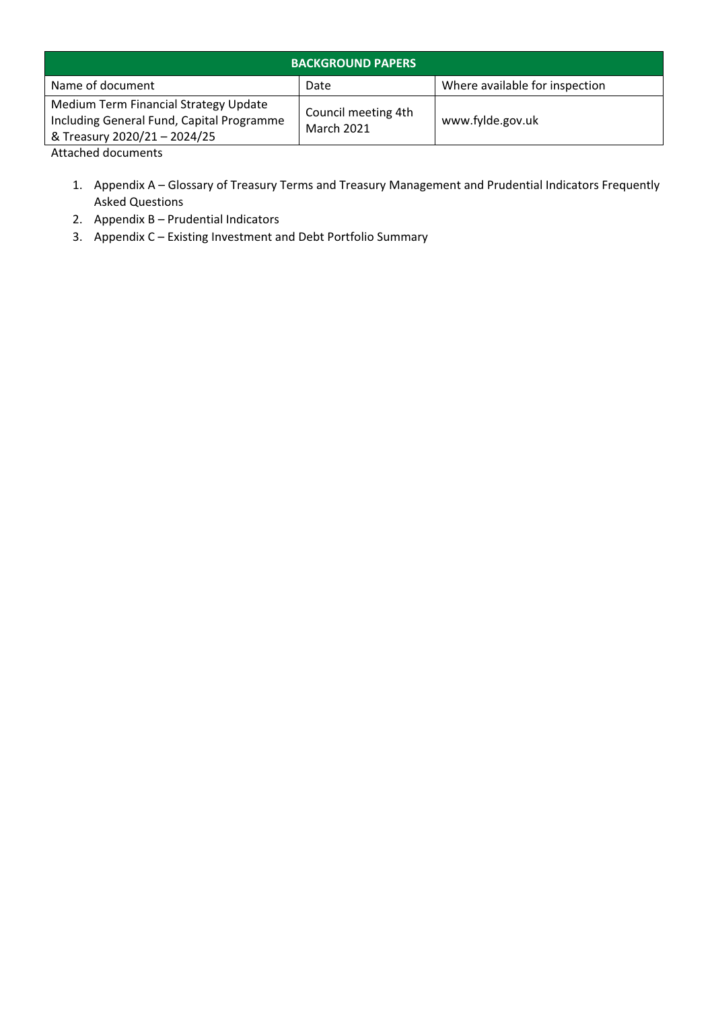| <b>BACKGROUND PAPERS</b>                                                                                           |                                          |                                |  |  |
|--------------------------------------------------------------------------------------------------------------------|------------------------------------------|--------------------------------|--|--|
| Name of document                                                                                                   | Date                                     | Where available for inspection |  |  |
| Medium Term Financial Strategy Update<br>Including General Fund, Capital Programme<br>& Treasury 2020/21 - 2024/25 | Council meeting 4th<br><b>March 2021</b> | www.fylde.gov.uk               |  |  |

Attached documents

- 1. Appendix A Glossary of Treasury Terms and Treasury Management and Prudential Indicators Frequently Asked Questions
- 2. Appendix B Prudential Indicators
- 3. Appendix C Existing Investment and Debt Portfolio Summary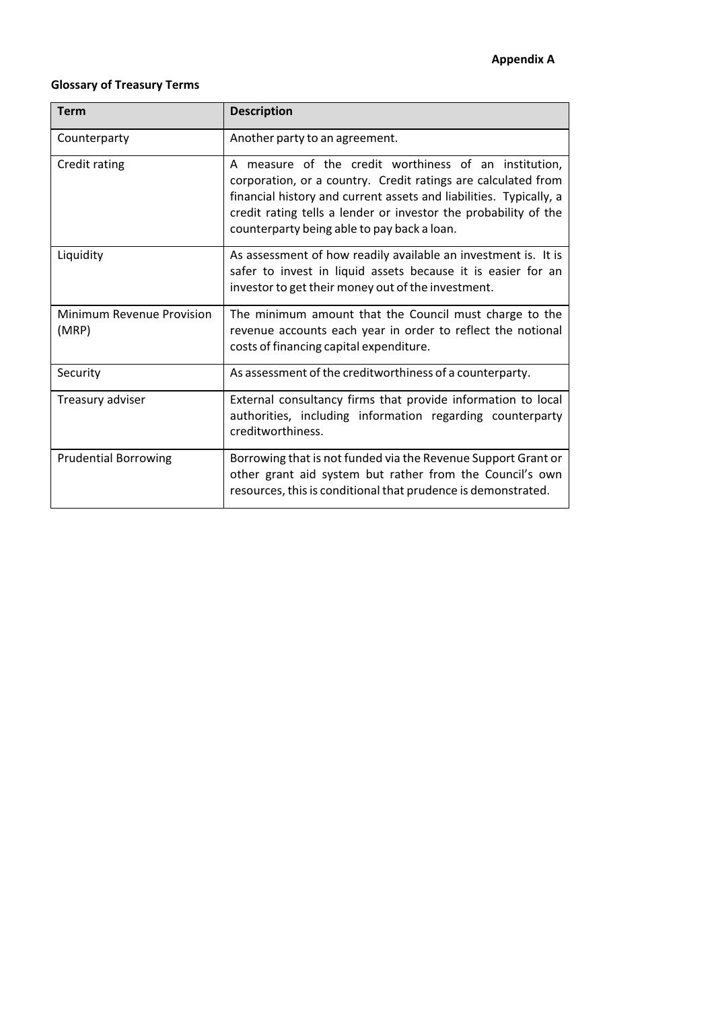#### **Glossary of Treasury Terms**

| <b>Term</b>                        | <b>Description</b>                                                                                                                                                                                                                                                                                             |  |
|------------------------------------|----------------------------------------------------------------------------------------------------------------------------------------------------------------------------------------------------------------------------------------------------------------------------------------------------------------|--|
| Counterparty                       | Another party to an agreement.                                                                                                                                                                                                                                                                                 |  |
| Credit rating                      | A measure of the credit worthiness of an institution,<br>corporation, or a country. Credit ratings are calculated from<br>financial history and current assets and liabilities. Typically, a<br>credit rating tells a lender or investor the probability of the<br>counterparty being able to pay back a loan. |  |
| Liquidity                          | As assessment of how readily available an investment is. It is<br>safer to invest in liquid assets because it is easier for an<br>investor to get their money out of the investment.                                                                                                                           |  |
| Minimum Revenue Provision<br>(MRP) | The minimum amount that the Council must charge to the<br>revenue accounts each year in order to reflect the notional<br>costs of financing capital expenditure.                                                                                                                                               |  |
| Security                           | As assessment of the creditworthiness of a counterparty.                                                                                                                                                                                                                                                       |  |
| Treasury adviser                   | External consultancy firms that provide information to local<br>authorities, including information regarding counterparty<br>creditworthiness.                                                                                                                                                                 |  |
| <b>Prudential Borrowing</b>        | Borrowing that is not funded via the Revenue Support Grant or<br>other grant aid system but rather from the Council's own<br>resources, this is conditional that prudence is demonstrated.                                                                                                                     |  |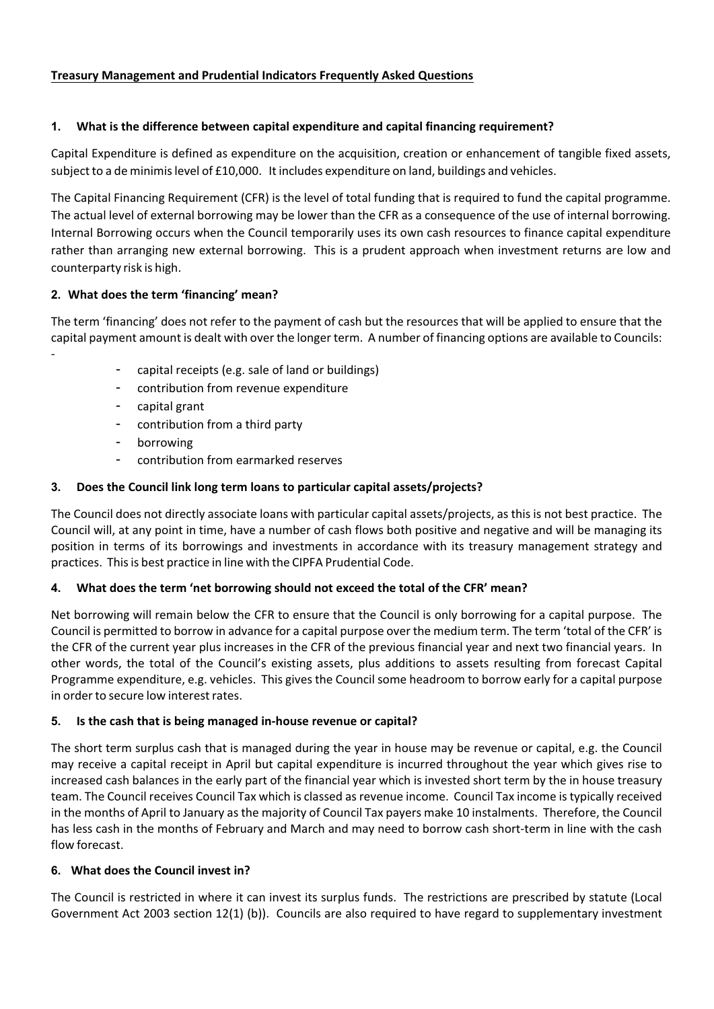# **Treasury Management and Prudential Indicators Frequently Asked Questions**

# **1. What is the difference between capital expenditure and capital financing requirement?**

Capital Expenditure is defined as expenditure on the acquisition, creation or enhancement of tangible fixed assets, subject to a de minimislevel of £10,000. It includes expenditure on land, buildings and vehicles.

The Capital Financing Requirement (CFR) is the level of total funding that is required to fund the capital programme. The actual level of external borrowing may be lower than the CFR as a consequence of the use of internal borrowing. Internal Borrowing occurs when the Council temporarily uses its own cash resources to finance capital expenditure rather than arranging new external borrowing. This is a prudent approach when investment returns are low and counterparty risk is high.

# **2. What does the term 'financing' mean?**

The term 'financing' does not refer to the payment of cash but the resources that will be applied to ensure that the capital payment amount is dealt with over the longer term. A number of financing options are available to Councils:

- capital receipts (e.g. sale of land or buildings)
- contribution from revenue expenditure
- capital grant

‐

- contribution from a third party
- borrowing
- contribution from earmarked reserves

# **3. Does the Council link long term loans to particular capital assets/projects?**

The Council does not directly associate loans with particular capital assets/projects, as this is not best practice. The Council will, at any point in time, have a number of cash flows both positive and negative and will be managing its position in terms of its borrowings and investments in accordance with its treasury management strategy and practices. This is best practice in line with the CIPFA Prudential Code.

# **4. What does the term 'net borrowing should not exceed the total of the CFR' mean?**

Net borrowing will remain below the CFR to ensure that the Council is only borrowing for a capital purpose. The Council is permitted to borrow in advance for a capital purpose over the medium term. The term 'total of the CFR' is the CFR of the current year plus increases in the CFR of the previous financial year and next two financial years. In other words, the total of the Council's existing assets, plus additions to assets resulting from forecast Capital Programme expenditure, e.g. vehicles. This gives the Council some headroom to borrow early for a capital purpose in order to secure low interest rates.

# **5. Is the cash that is being managed in‐house revenue or capital?**

The short term surplus cash that is managed during the year in house may be revenue or capital, e.g. the Council may receive a capital receipt in April but capital expenditure is incurred throughout the year which gives rise to increased cash balances in the early part of the financial year which is invested short term by the in house treasury team. The Council receives Council Tax which is classed asrevenue income. Council Tax income istypically received in the months of April to January as the majority of Council Tax payers make 10 instalments. Therefore, the Council has less cash in the months of February and March and may need to borrow cash short-term in line with the cash flow forecast.

# **6. What does the Council invest in?**

The Council is restricted in where it can invest its surplus funds. The restrictions are prescribed by statute (Local Government Act 2003 section 12(1) (b)). Councils are also required to have regard to supplementary investment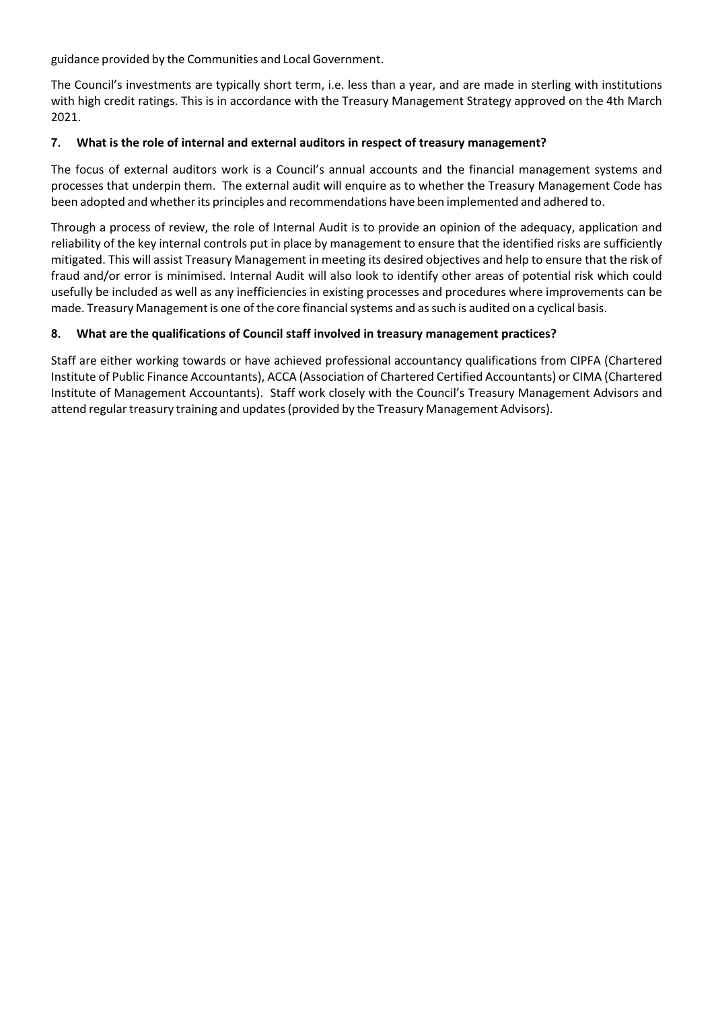guidance provided by the Communities and Local Government.

The Council's investments are typically short term, i.e. less than a year, and are made in sterling with institutions with high credit ratings. This is in accordance with the Treasury Management Strategy approved on the 4th March 2021.

#### **7. What is the role of internal and external auditors in respect of treasury management?**

The focus of external auditors work is a Council's annual accounts and the financial management systems and processes that underpin them. The external audit will enquire as to whether the Treasury Management Code has been adopted and whetherits principles and recommendations have been implemented and adhered to.

Through a process of review, the role of Internal Audit is to provide an opinion of the adequacy, application and reliability of the key internal controls put in place by management to ensure that the identified risks are sufficiently mitigated. This will assist Treasury Management in meeting its desired objectives and help to ensure that the risk of fraud and/or error is minimised. Internal Audit will also look to identify other areas of potential risk which could usefully be included as well as any inefficiencies in existing processes and procedures where improvements can be made. Treasury Management is one of the core financial systems and as such is audited on a cyclical basis.

# **8. What are the qualifications of Council staff involved in treasury management practices?**

Staff are either working towards or have achieved professional accountancy qualifications from CIPFA (Chartered Institute of Public Finance Accountants), ACCA (Association of Chartered Certified Accountants) or CIMA (Chartered Institute of Management Accountants). Staff work closely with the Council's Treasury Management Advisors and attend regular treasury training and updates (provided by the Treasury Management Advisors).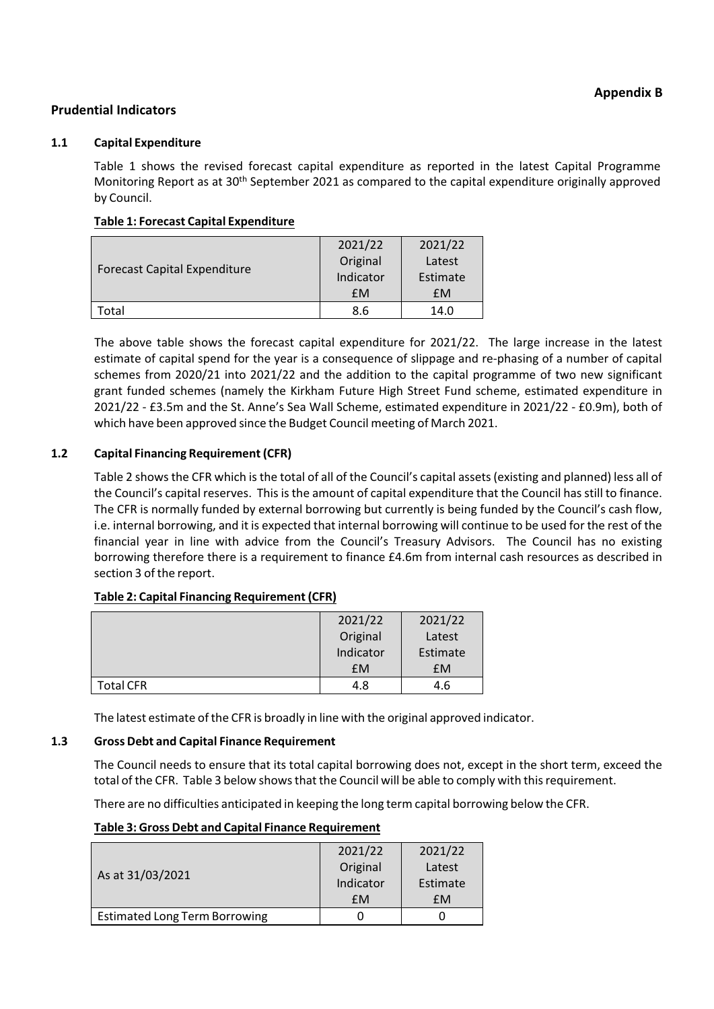# **Prudential Indicators**

#### **1.1 Capital Expenditure**

Table 1 shows the revised forecast capital expenditure as reported in the latest Capital Programme Monitoring Report as at 30<sup>th</sup> September 2021 as compared to the capital expenditure originally approved by Council.

# **Table 1: Forecast Capital Expenditure**

| <b>Forecast Capital Expenditure</b> | 2021/22   | 2021/22  |
|-------------------------------------|-----------|----------|
|                                     | Original  | Latest   |
|                                     | Indicator | Estimate |
|                                     | <b>£M</b> | £M       |
| Total                               | 8.6       | 14.0     |

The above table shows the forecast capital expenditure for 2021/22. The large increase in the latest estimate of capital spend for the year is a consequence of slippage and re-phasing of a number of capital schemes from 2020/21 into 2021/22 and the addition to the capital programme of two new significant grant funded schemes (namely the Kirkham Future High Street Fund scheme, estimated expenditure in 2021/22 ‐ £3.5m and the St. Anne's Sea Wall Scheme, estimated expenditure in 2021/22 ‐ £0.9m), both of which have been approved since the Budget Council meeting of March 2021.

# **1.2 Capital Financing Requirement (CFR)**

Table 2 showsthe CFR which isthe total of all of the Council's capital assets(existing and planned) less all of the Council's capital reserves. This is the amount of capital expenditure that the Council has still to finance. The CFR is normally funded by external borrowing but currently is being funded by the Council's cash flow, i.e. internal borrowing, and it is expected that internal borrowing will continue to be used for the rest of the financial year in line with advice from the Council's Treasury Advisors. The Council has no existing borrowing therefore there is a requirement to finance £4.6m from internal cash resources as described in section 3 of the report.

#### **Table 2: Capital Financing Requirement (CFR)**

|                  | 2021/22   | 2021/22  |
|------------------|-----------|----------|
|                  | Original  | Latest   |
|                  | Indicator | Estimate |
|                  | <b>EM</b> | £M       |
| <b>Total CFR</b> | 4.8       | 4.6      |

The latest estimate of the CFR is broadly in line with the original approved indicator.

# **1.3 Gross Debt and Capital Finance Requirement**

The Council needs to ensure that its total capital borrowing does not, except in the short term, exceed the total of the CFR. Table 3 below shows that the Council will be able to comply with this requirement.

There are no difficulties anticipated in keeping the long term capital borrowing below the CFR.

# **Table 3: Gross Debt and Capital Finance Requirement**

|                                      | 2021/22   | 2021/22  |
|--------------------------------------|-----------|----------|
| As at 31/03/2021                     | Original  | Latest   |
|                                      | Indicator | Estimate |
|                                      | fM        | fM       |
| <b>Estimated Long Term Borrowing</b> |           |          |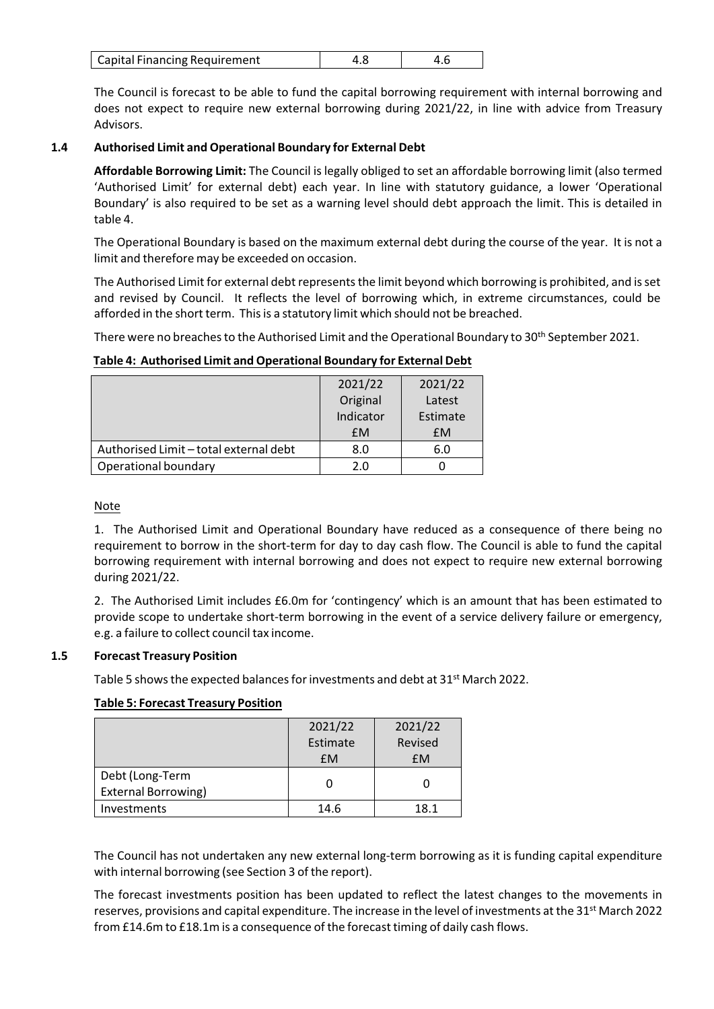| <b>Capital Financing Requirement</b> |  |  |
|--------------------------------------|--|--|
|--------------------------------------|--|--|

The Council is forecast to be able to fund the capital borrowing requirement with internal borrowing and does not expect to require new external borrowing during 2021/22, in line with advice from Treasury Advisors.

# **1.4 Authorised Limit and Operational Boundary for External Debt**

**Affordable Borrowing Limit:** The Council islegally obliged to set an affordable borrowing limit (also termed 'Authorised Limit' for external debt) each year. In line with statutory guidance, a lower 'Operational Boundary' is also required to be set as a warning level should debt approach the limit. This is detailed in table 4.

The Operational Boundary is based on the maximum external debt during the course of the year. It is not a limit and therefore may be exceeded on occasion.

The Authorised Limit for external debt represents the limit beyond which borrowing is prohibited, and is set and revised by Council. It reflects the level of borrowing which, in extreme circumstances, could be afforded in the short term. This is a statutory limit which should not be breached.

There were no breaches to the Authorised Limit and the Operational Boundary to 30<sup>th</sup> September 2021.

# **Table 4: Authorised Limit and Operational Boundary for External Debt**

|                                        | 2021/22   | 2021/22  |
|----------------------------------------|-----------|----------|
|                                        | Original  | Latest   |
|                                        | Indicator | Estimate |
|                                        | <b>£M</b> | £M       |
| Authorised Limit - total external debt | 8.0       | 6.0      |
| Operational boundary                   | 2.0       |          |

#### Note

1. The Authorised Limit and Operational Boundary have reduced as a consequence of there being no requirement to borrow in the short-term for day to day cash flow. The Council is able to fund the capital borrowing requirement with internal borrowing and does not expect to require new external borrowing during 2021/22.

2. The Authorised Limit includes £6.0m for 'contingency' which is an amount that has been estimated to provide scope to undertake short‐term borrowing in the event of a service delivery failure or emergency, e.g. a failure to collect council tax income.

#### **1.5 Forecast Treasury Position**

Table 5 shows the expected balances for investments and debt at 31<sup>st</sup> March 2022.

#### **Table 5: Forecast Treasury Position**

|                            | 2021/22   | 2021/22   |
|----------------------------|-----------|-----------|
|                            | Estimate  | Revised   |
|                            | <b>£M</b> | <b>fM</b> |
| Debt (Long-Term            |           |           |
| <b>External Borrowing)</b> |           |           |
| Investments                | 14.6      | 18.1      |

The Council has not undertaken any new external long‐term borrowing as it is funding capital expenditure with internal borrowing (see Section 3 of the report).

The forecast investments position has been updated to reflect the latest changes to the movements in reserves, provisions and capital expenditure. The increase in the level of investments at the 31<sup>st</sup> March 2022 from £14.6m to £18.1m is a consequence of the forecast timing of daily cash flows.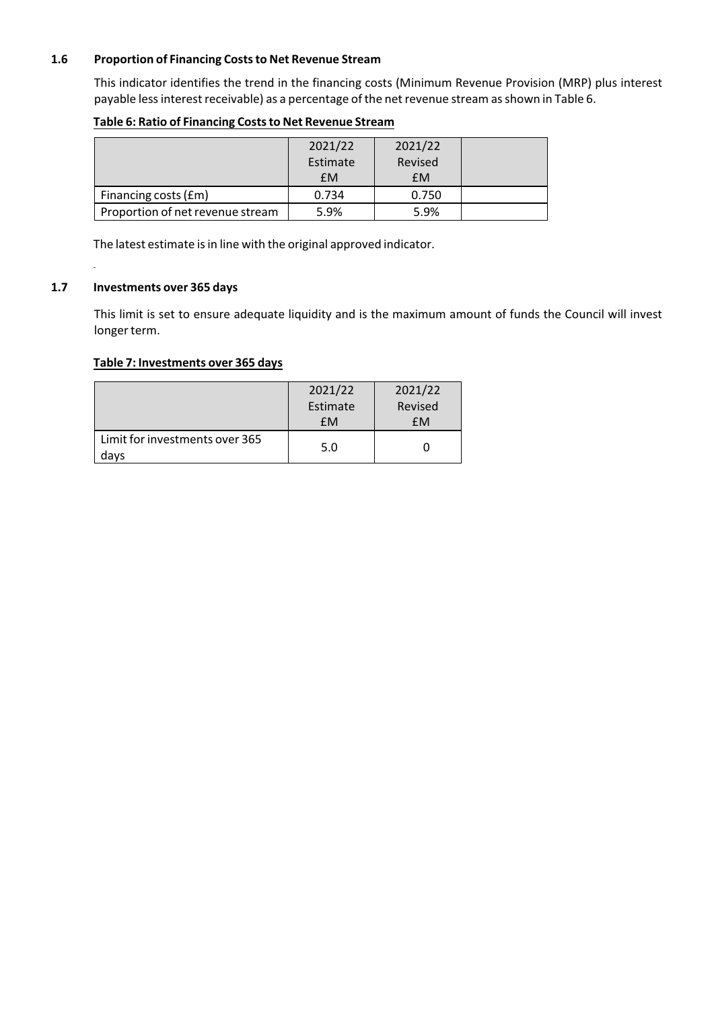# **1.6 Proportion of Financing Coststo Net Revenue Stream**

This indicator identifies the trend in the financing costs (Minimum Revenue Provision (MRP) plus interest payable less interest receivable) as a percentage of the net revenue stream as shown in Table 6.

|                                  | 2021/22<br>Estimate | 2021/22<br>Revised |  |
|----------------------------------|---------------------|--------------------|--|
|                                  | <b>EM</b>           | £M                 |  |
| Financing costs (£m)             | 0.734               | 0.750              |  |
| Proportion of net revenue stream | 5.9%                | 5.9%               |  |

#### **Table 6: Ratio of Financing Coststo Net Revenue Stream**

The latest estimate is in line with the original approved indicator.

# **1.7 Investments over 365 days**

This limit is set to ensure adequate liquidity and is the maximum amount of funds the Council will invest longer term.

#### **Table 7: Investments over 365 days**

|                                        | 2021/22<br>Estimate<br>£M | 2021/22<br>Revised<br>fМ |
|----------------------------------------|---------------------------|--------------------------|
| Limit for investments over 365<br>davs | 5.0                       |                          |